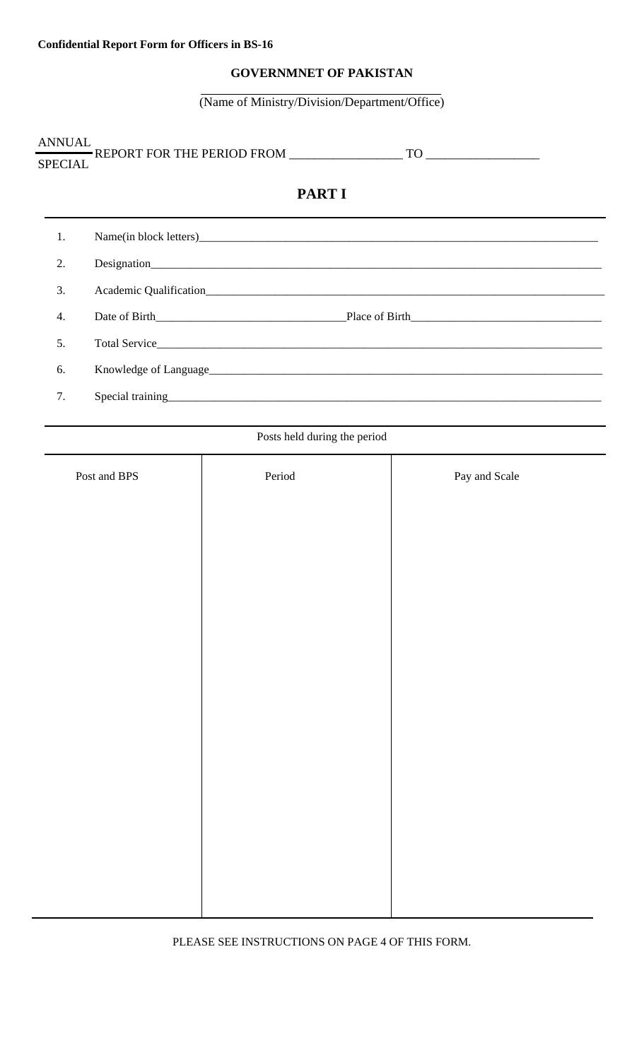### **GOVERNMNET OF PAKISTAN**

(Name of Ministry/Division/Department/Office)

| <b>ANNUAL</b><br><b>SPECIAL</b> |  |  |  |  |  |
|---------------------------------|--|--|--|--|--|
| <b>PART I</b>                   |  |  |  |  |  |
| 1.                              |  |  |  |  |  |
| 2.                              |  |  |  |  |  |
| 3.                              |  |  |  |  |  |
| 4.                              |  |  |  |  |  |
| 5.                              |  |  |  |  |  |
| 6.                              |  |  |  |  |  |
| 7.                              |  |  |  |  |  |

#### Posts held during the period

| Post and BPS | Period | Pay and Scale |
|--------------|--------|---------------|
|              |        |               |
|              |        |               |
|              |        |               |
|              |        |               |
|              |        |               |
|              |        |               |
|              |        |               |
|              |        |               |
|              |        |               |
|              |        |               |
|              |        |               |

PLEASE SEE INSTRUCTIONS ON PAGE 4 OF THIS FORM.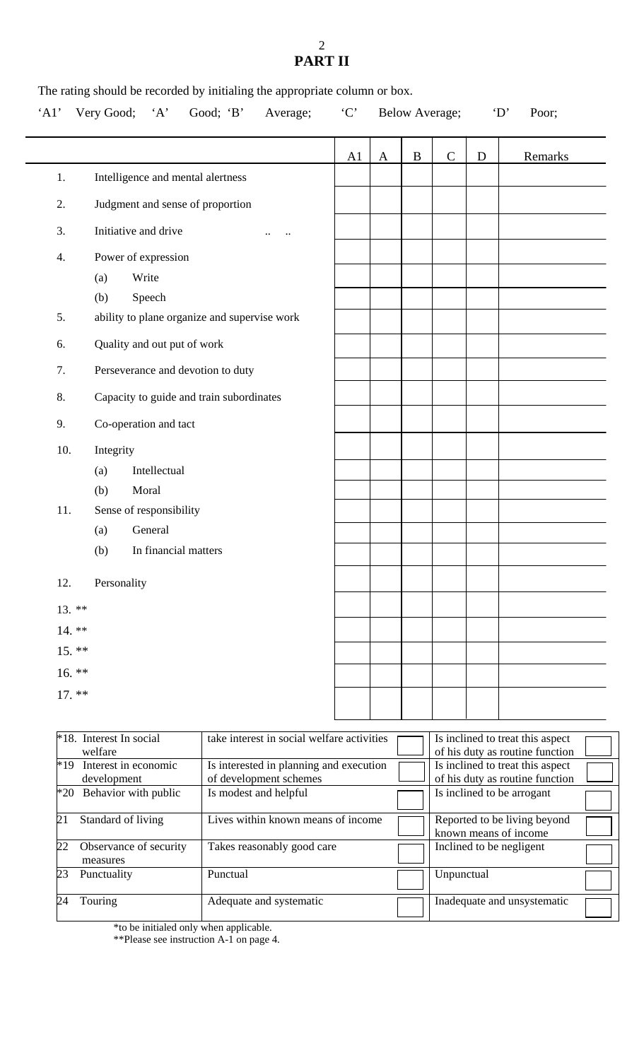## 2 **PART II**

The rating should be recorded by initialing the appropriate column or box.

| 'A1'     | Very Good; 'A'<br>Good; 'B'<br>Average;      |    | $\lq C$<br><b>Below Average;</b> |          | $\Delta$ .<br>Poor; |   |         |
|----------|----------------------------------------------|----|----------------------------------|----------|---------------------|---|---------|
|          |                                              | A1 | $\mathbf{A}$                     | $\bf{B}$ | $\mathsf{C}$        | D | Remarks |
| 1.       | Intelligence and mental alertness            |    |                                  |          |                     |   |         |
| 2.       | Judgment and sense of proportion             |    |                                  |          |                     |   |         |
| 3.       | Initiative and drive                         |    |                                  |          |                     |   |         |
| 4.       | Power of expression                          |    |                                  |          |                     |   |         |
|          | Write<br>(a)                                 |    |                                  |          |                     |   |         |
|          | (b)<br>Speech                                |    |                                  |          |                     |   |         |
| 5.       | ability to plane organize and supervise work |    |                                  |          |                     |   |         |
| 6.       | Quality and out put of work                  |    |                                  |          |                     |   |         |
| 7.       | Perseverance and devotion to duty            |    |                                  |          |                     |   |         |
| 8.       | Capacity to guide and train subordinates     |    |                                  |          |                     |   |         |
| 9.       | Co-operation and tact                        |    |                                  |          |                     |   |         |
| 10.      | Integrity                                    |    |                                  |          |                     |   |         |
|          | Intellectual<br>(a)                          |    |                                  |          |                     |   |         |
|          | Moral<br>(b)                                 |    |                                  |          |                     |   |         |
| 11.      | Sense of responsibility                      |    |                                  |          |                     |   |         |
|          | General<br>(a)                               |    |                                  |          |                     |   |         |
|          | In financial matters<br>(b)                  |    |                                  |          |                     |   |         |
| 12.      | Personality                                  |    |                                  |          |                     |   |         |
| 13. $**$ |                                              |    |                                  |          |                     |   |         |
| $14.***$ |                                              |    |                                  |          |                     |   |         |
| $15.***$ |                                              |    |                                  |          |                     |   |         |
| 16. $**$ |                                              |    |                                  |          |                     |   |         |
| $17.***$ |                                              |    |                                  |          |                     |   |         |

|    | $*18$ . Interest In social<br>welfare     | take interest in social welfare activities                        | Is inclined to treat this aspect<br>of his duty as routine function |  |
|----|-------------------------------------------|-------------------------------------------------------------------|---------------------------------------------------------------------|--|
|    | $*19$ Interest in economic<br>development | Is interested in planning and execution<br>of development schemes | Is inclined to treat this aspect<br>of his duty as routine function |  |
|    | *20 Behavior with public                  | Is modest and helpful                                             | Is inclined to be arrogant                                          |  |
| 21 | Standard of living                        | Lives within known means of income                                | Reported to be living beyond<br>known means of income               |  |
| 22 | Observance of security<br>measures        | Takes reasonably good care                                        | Inclined to be negligent                                            |  |
| 23 | Punctuality                               | Punctual                                                          | Unpunctual                                                          |  |
| 24 | Touring                                   | Adequate and systematic                                           | Inadequate and unsystematic                                         |  |

\*to be initialed only when applicable.

\*\*Please see instruction A-1 on page 4.